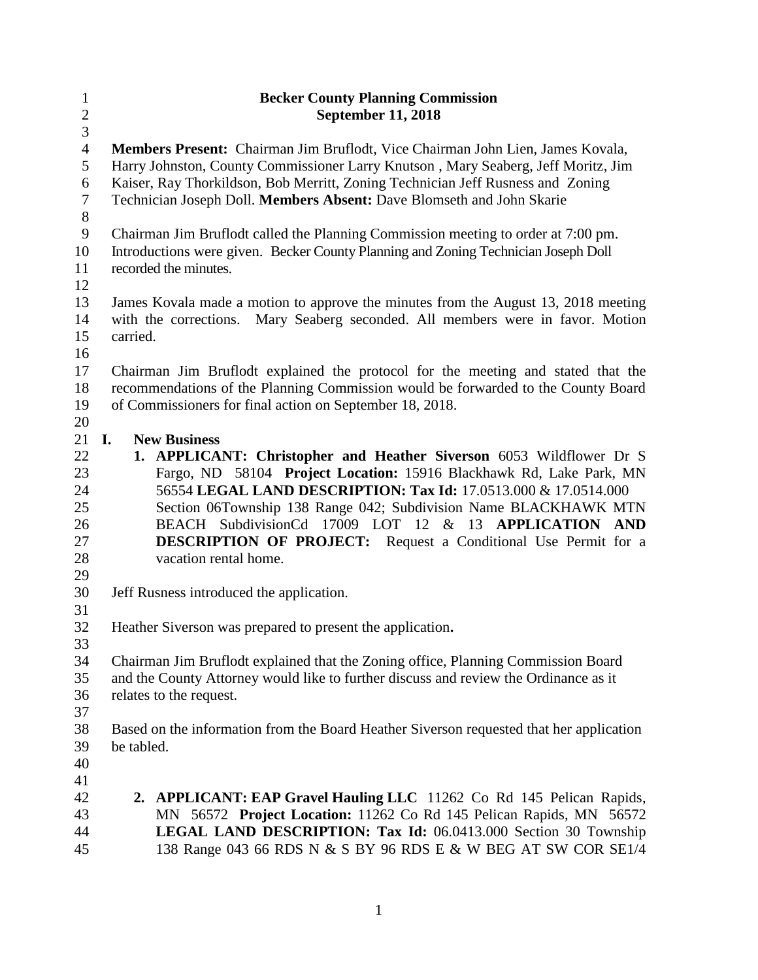| $\mathbf{1}$   | <b>Becker County Planning Commission</b>                                                                                               |  |  |
|----------------|----------------------------------------------------------------------------------------------------------------------------------------|--|--|
| $\overline{c}$ | <b>September 11, 2018</b>                                                                                                              |  |  |
| 3              |                                                                                                                                        |  |  |
| $\overline{4}$ | Members Present: Chairman Jim Bruflodt, Vice Chairman John Lien, James Kovala,                                                         |  |  |
| 5              | Harry Johnston, County Commissioner Larry Knutson, Mary Seaberg, Jeff Moritz, Jim                                                      |  |  |
| 6              | Kaiser, Ray Thorkildson, Bob Merritt, Zoning Technician Jeff Rusness and Zoning                                                        |  |  |
| $\tau$         | Technician Joseph Doll. Members Absent: Dave Blomseth and John Skarie                                                                  |  |  |
| $8\,$          |                                                                                                                                        |  |  |
| $\mathbf{9}$   | Chairman Jim Bruflodt called the Planning Commission meeting to order at 7:00 pm.                                                      |  |  |
| 10             | Introductions were given. Becker County Planning and Zoning Technician Joseph Doll                                                     |  |  |
| 11             | recorded the minutes.                                                                                                                  |  |  |
| 12             |                                                                                                                                        |  |  |
| 13             | James Kovala made a motion to approve the minutes from the August 13, 2018 meeting                                                     |  |  |
| 14             | with the corrections.<br>Mary Seaberg seconded. All members were in favor. Motion                                                      |  |  |
| 15             | carried.                                                                                                                               |  |  |
| 16             |                                                                                                                                        |  |  |
| 17             | Chairman Jim Bruflodt explained the protocol for the meeting and stated that the                                                       |  |  |
| 18             | recommendations of the Planning Commission would be forwarded to the County Board                                                      |  |  |
| 19             | of Commissioners for final action on September 18, 2018.                                                                               |  |  |
| 20             | <b>New Business</b>                                                                                                                    |  |  |
| 21<br>22       | I.                                                                                                                                     |  |  |
|                | 1. APPLICANT: Christopher and Heather Siverson 6053 Wildflower Dr S                                                                    |  |  |
| 23<br>24       | Fargo, ND 58104 Project Location: 15916 Blackhawk Rd, Lake Park, MN<br>56554 LEGAL LAND DESCRIPTION: Tax Id: 17.0513.000 & 17.0514.000 |  |  |
| 25             | Section 06Township 138 Range 042; Subdivision Name BLACKHAWK MTN                                                                       |  |  |
| 26             | BEACH SubdivisionCd 17009 LOT 12 & 13 APPLICATION AND                                                                                  |  |  |
| 27             | <b>DESCRIPTION OF PROJECT:</b> Request a Conditional Use Permit for a                                                                  |  |  |
| 28             | vacation rental home.                                                                                                                  |  |  |
| 29             |                                                                                                                                        |  |  |
| 30             | Jeff Rusness introduced the application.                                                                                               |  |  |
| 31             |                                                                                                                                        |  |  |
| 32             | Heather Siverson was prepared to present the application.                                                                              |  |  |
| 33             |                                                                                                                                        |  |  |
| 34             | Chairman Jim Bruflodt explained that the Zoning office, Planning Commission Board                                                      |  |  |
| 35             | and the County Attorney would like to further discuss and review the Ordinance as it                                                   |  |  |
| 36             | relates to the request.                                                                                                                |  |  |
| 37             |                                                                                                                                        |  |  |
| 38             | Based on the information from the Board Heather Siverson requested that her application                                                |  |  |
| 39             | be tabled.                                                                                                                             |  |  |
| 40             |                                                                                                                                        |  |  |
| 41             |                                                                                                                                        |  |  |
| 42             | 2. APPLICANT: EAP Gravel Hauling LLC 11262 Co Rd 145 Pelican Rapids,                                                                   |  |  |
| 43             | MN 56572 Project Location: 11262 Co Rd 145 Pelican Rapids, MN 56572                                                                    |  |  |
| 44             | LEGAL LAND DESCRIPTION: Tax Id: 06.0413.000 Section 30 Township                                                                        |  |  |
| 45             | 138 Range 043 66 RDS N & S BY 96 RDS E & W BEG AT SW COR SE1/4                                                                         |  |  |